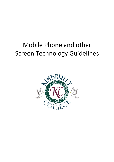## Mobile Phone and other Screen Technology Guidelines